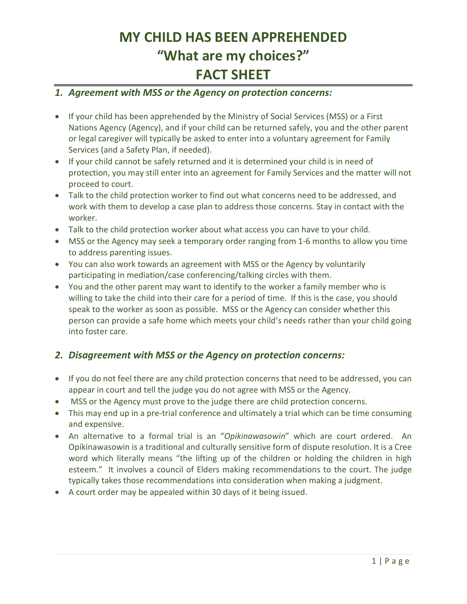# **MY CHILD HAS BEEN APPREHENDED "What are my choices?" FACT SHEET**

#### *1. Agreement with MSS or the Agency on protection concerns:*

- If your child has been apprehended by the Ministry of Social Services (MSS) or a First Nations Agency (Agency), and if your child can be returned safely, you and the other parent or legal caregiver will typically be asked to enter into a voluntary agreement for Family Services (and a Safety Plan, if needed).
- If your child cannot be safely returned and it is determined your child is in need of protection, you may still enter into an agreement for Family Services and the matter will not proceed to court.
- Talk to the child protection worker to find out what concerns need to be addressed, and work with them to develop a case plan to address those concerns. Stay in contact with the worker.
- Talk to the child protection worker about what access you can have to your child.
- MSS or the Agency may seek a temporary order ranging from 1-6 months to allow you time to address parenting issues.
- You can also work towards an agreement with MSS or the Agency by voluntarily participating in mediation/case conferencing/talking circles with them.
- You and the other parent may want to identify to the worker a family member who is willing to take the child into their care for a period of time. If this is the case, you should speak to the worker as soon as possible. MSS or the Agency can consider whether this person can provide a safe home which meets your child's needs rather than your child going into foster care.

### *2. Disagreement with MSS or the Agency on protection concerns:*

- If you do not feel there are any child protection concerns that need to be addressed, you can appear in court and tell the judge you do not agree with MSS or the Agency.
- MSS or the Agency must prove to the judge there are child protection concerns.
- This may end up in a pre-trial conference and ultimately a trial which can be time consuming and expensive.
- An alternative to a formal trial is an "*Opikinawasowin*" which are court ordered. An Opikinawasowin is a traditional and culturally sensitive form of dispute resolution. It is a Cree word which literally means "the lifting up of the children or holding the children in high esteem." It involves a council of Elders making recommendations to the court. The judge typically takes those recommendations into consideration when making a judgment.
- A court order may be appealed within 30 days of it being issued.